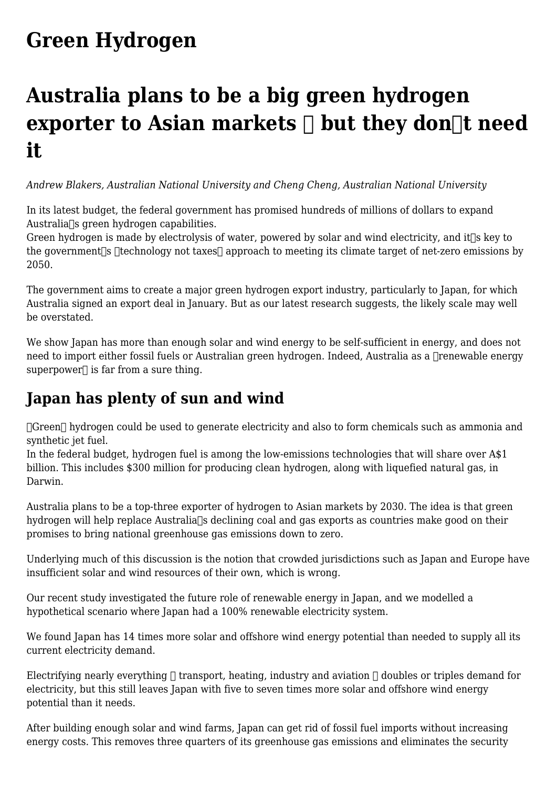## **[Green Hydrogen](https://www.melbpc.org.au/green-hydrogen/)**

# **Australia plans to be a big green hydrogen exporter to Asian markets**  $\Box$  **but they don** $\Box$ **t need it**

*Andrew Blakers, Australian National University and Cheng Cheng, Australian National University*

In its latest budget, the federal government has promised hundreds of millions of dollars to expand Australia<sup>[</sup>s green hydrogen capabilities.

Green hydrogen is made by electrolysis of water, powered by solar and wind electricity, and it<sup>n</sup>s key to the government  $\log$  dechnology not taxes approach to meeting its climate target of net-zero emissions by 2050.

The government aims to create a major green hydrogen export industry, particularly to Japan, for which Australia signed an export deal in January. But as our latest research suggests, the likely scale may well be overstated.

We show Japan has more than enough solar and wind energy to be self-sufficient in energy, and does not need to import either fossil fuels or Australian green hydrogen. Indeed, Australia as a **Trenewable energy** superpower $\Box$  is far from a sure thing.

### **Japan has plenty of sun and wind**

 $\Box$ Green $\Box$  hydrogen could be used to generate electricity and also to form chemicals such as ammonia and synthetic jet fuel.

In the federal budget, hydrogen fuel is among the low-emissions technologies that will share over A\$1 billion. This includes \$300 million for producing clean hydrogen, along with liquefied natural gas, in Darwin.

Australia plans to be a top-three exporter of hydrogen to Asian markets by 2030. The idea is that green hydrogen will help replace Australia<sup>n</sup>s declining coal and gas exports as countries make good on their promises to bring national greenhouse gas emissions down to zero.

Underlying much of this discussion is the notion that crowded jurisdictions such as Japan and Europe have insufficient solar and wind resources of their own, which is wrong.

Our recent study investigated the future role of renewable energy in Japan, and we modelled a hypothetical scenario where Japan had a 100% renewable electricity system.

We found Japan has 14 times more solar and offshore wind energy potential than needed to supply all its current electricity demand.

Electrifying nearly everything  $\Box$  transport, heating, industry and aviation  $\Box$  doubles or triples demand for electricity, but this still leaves Japan with five to seven times more solar and offshore wind energy potential than it needs.

After building enough solar and wind farms, Japan can get rid of fossil fuel imports without increasing energy costs. This removes three quarters of its greenhouse gas emissions and eliminates the security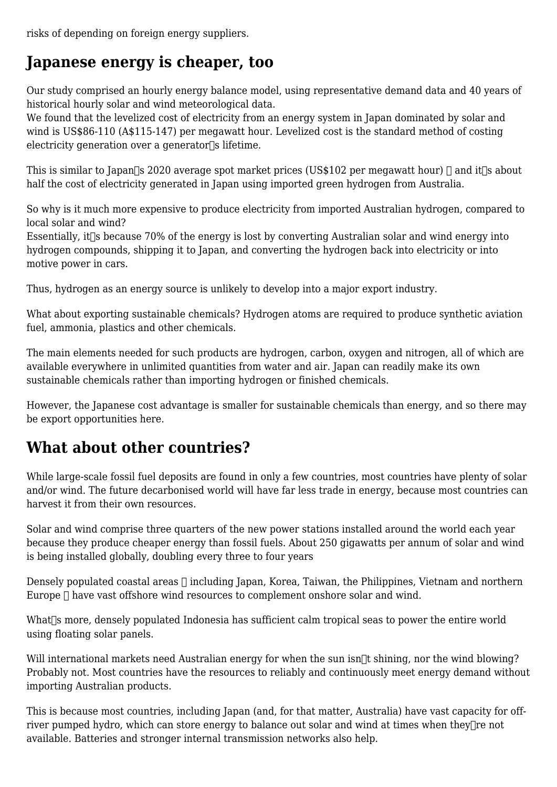risks of depending on foreign energy suppliers.

### **Japanese energy is cheaper, too**

Our study comprised an hourly energy balance model, using representative demand data and 40 years of historical hourly solar and wind meteorological data.

We found that the levelized cost of electricity from an energy system in Japan dominated by solar and wind is US\$86-110 (A\$115-147) per megawatt hour. Levelized cost is the standard method of costing electricity generation over a generator $\sqrt{s}$  lifetime.

This is similar to Japan<sup> $\sqcap$ </sup>s 2020 average spot market prices (US\$102 per megawatt hour)  $\sqcap$  and it $\sqcap$ s about half the cost of electricity generated in Japan using imported green hydrogen from Australia.

So why is it much more expensive to produce electricity from imported Australian hydrogen, compared to local solar and wind?

Essentially, it  $\sim$  because 70% of the energy is lost by converting Australian solar and wind energy into hydrogen compounds, shipping it to Japan, and converting the hydrogen back into electricity or into motive power in cars.

Thus, hydrogen as an energy source is unlikely to develop into a major export industry.

What about exporting sustainable chemicals? Hydrogen atoms are required to produce synthetic aviation fuel, ammonia, plastics and other chemicals.

The main elements needed for such products are hydrogen, carbon, oxygen and nitrogen, all of which are available everywhere in unlimited quantities from water and air. Japan can readily make its own sustainable chemicals rather than importing hydrogen or finished chemicals.

However, the Japanese cost advantage is smaller for sustainable chemicals than energy, and so there may be export opportunities here.

### **What about other countries?**

While large-scale fossil fuel deposits are found in only a few countries, most countries have plenty of solar and/or wind. The future decarbonised world will have far less trade in energy, because most countries can harvest it from their own resources.

Solar and wind comprise three quarters of the new power stations installed around the world each year because they produce cheaper energy than fossil fuels. About 250 gigawatts per annum of solar and wind is being installed globally, doubling every three to four years

Densely populated coastal areas  $\Box$  including Japan, Korea, Taiwan, the Philippines, Vietnam and northern Europe  $\Box$  have vast offshore wind resources to complement onshore solar and wind.

What is more, densely populated Indonesia has sufficient calm tropical seas to power the entire world using floating solar panels.

Will international markets need Australian energy for when the sun isn<sup>[1]</sup>t shining, nor the wind blowing? Probably not. Most countries have the resources to reliably and continuously meet energy demand without importing Australian products.

This is because most countries, including Japan (and, for that matter, Australia) have vast capacity for offriver pumped hydro, which can store energy to balance out solar and wind at times when they $\pi$ e not available. Batteries and stronger internal transmission networks also help.